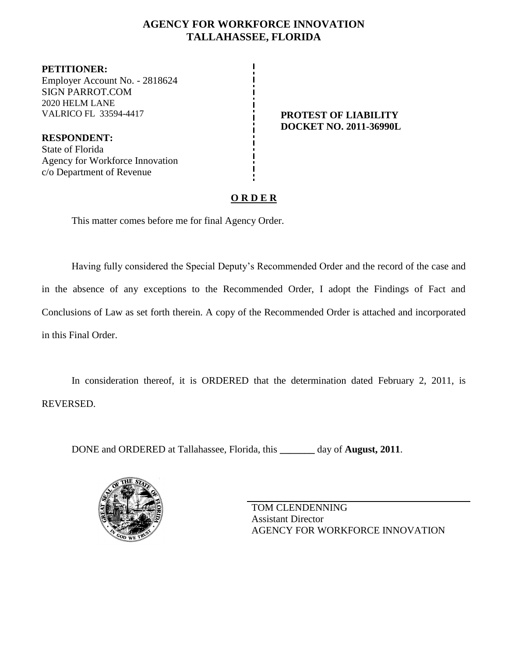## **AGENCY FOR WORKFORCE INNOVATION TALLAHASSEE, FLORIDA**

**PETITIONER:** Employer Account No. - 2818624 SIGN PARROT.COM 2020 HELM LANE VALRICO FL 33594-4417 **PROTEST OF LIABILITY**

**RESPONDENT:** State of Florida Agency for Workforce Innovation c/o Department of Revenue

**DOCKET NO. 2011-36990L**

# **O R D E R**

This matter comes before me for final Agency Order.

Having fully considered the Special Deputy's Recommended Order and the record of the case and in the absence of any exceptions to the Recommended Order, I adopt the Findings of Fact and Conclusions of Law as set forth therein. A copy of the Recommended Order is attached and incorporated in this Final Order.

In consideration thereof, it is ORDERED that the determination dated February 2, 2011, is REVERSED.

DONE and ORDERED at Tallahassee, Florida, this **\_\_\_\_\_\_\_** day of **August, 2011**.



TOM CLENDENNING Assistant Director AGENCY FOR WORKFORCE INNOVATION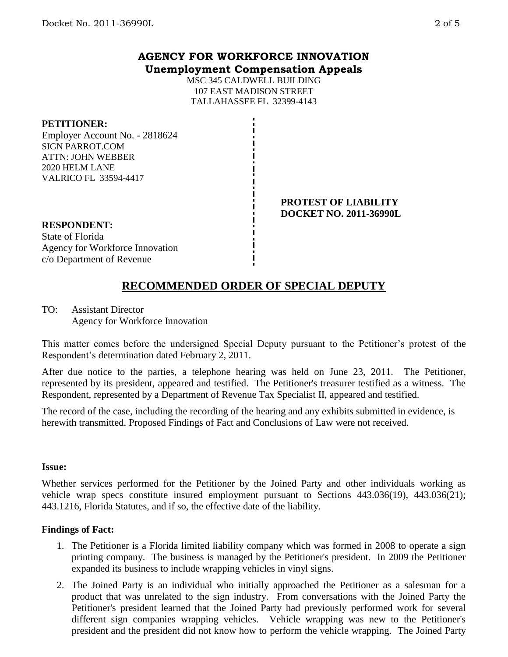### **AGENCY FOR WORKFORCE INNOVATION Unemployment Compensation Appeals**

MSC 345 CALDWELL BUILDING 107 EAST MADISON STREET TALLAHASSEE FL 32399-4143

### **PETITIONER:**

Employer Account No. - 2818624 SIGN PARROT.COM ATTN: JOHN WEBBER 2020 HELM LANE VALRICO FL 33594-4417

#### **PROTEST OF LIABILITY DOCKET NO. 2011-36990L**

# **RESPONDENT:**

State of Florida Agency for Workforce Innovation c/o Department of Revenue

# **RECOMMENDED ORDER OF SPECIAL DEPUTY**

TO: Assistant Director Agency for Workforce Innovation

This matter comes before the undersigned Special Deputy pursuant to the Petitioner's protest of the Respondent's determination dated February 2, 2011.

After due notice to the parties, a telephone hearing was held on June 23, 2011. The Petitioner, represented by its president, appeared and testified. The Petitioner's treasurer testified as a witness. The Respondent, represented by a Department of Revenue Tax Specialist II, appeared and testified.

The record of the case, including the recording of the hearing and any exhibits submitted in evidence, is herewith transmitted. Proposed Findings of Fact and Conclusions of Law were not received.

### **Issue:**

Whether services performed for the Petitioner by the Joined Party and other individuals working as vehicle wrap specs constitute insured employment pursuant to Sections 443.036(19), 443.036(21); 443.1216, Florida Statutes, and if so, the effective date of the liability.

### **Findings of Fact:**

- 1. The Petitioner is a Florida limited liability company which was formed in 2008 to operate a sign printing company. The business is managed by the Petitioner's president. In 2009 the Petitioner expanded its business to include wrapping vehicles in vinyl signs.
- 2. The Joined Party is an individual who initially approached the Petitioner as a salesman for a product that was unrelated to the sign industry. From conversations with the Joined Party the Petitioner's president learned that the Joined Party had previously performed work for several different sign companies wrapping vehicles. Vehicle wrapping was new to the Petitioner's president and the president did not know how to perform the vehicle wrapping. The Joined Party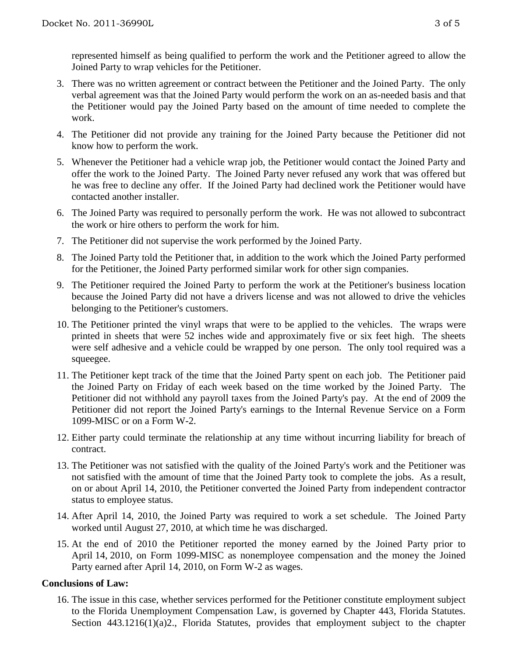represented himself as being qualified to perform the work and the Petitioner agreed to allow the Joined Party to wrap vehicles for the Petitioner.

- 3. There was no written agreement or contract between the Petitioner and the Joined Party. The only verbal agreement was that the Joined Party would perform the work on an as-needed basis and that the Petitioner would pay the Joined Party based on the amount of time needed to complete the work.
- 4. The Petitioner did not provide any training for the Joined Party because the Petitioner did not know how to perform the work.
- 5. Whenever the Petitioner had a vehicle wrap job, the Petitioner would contact the Joined Party and offer the work to the Joined Party. The Joined Party never refused any work that was offered but he was free to decline any offer. If the Joined Party had declined work the Petitioner would have contacted another installer.
- 6. The Joined Party was required to personally perform the work. He was not allowed to subcontract the work or hire others to perform the work for him.
- 7. The Petitioner did not supervise the work performed by the Joined Party.
- 8. The Joined Party told the Petitioner that, in addition to the work which the Joined Party performed for the Petitioner, the Joined Party performed similar work for other sign companies.
- 9. The Petitioner required the Joined Party to perform the work at the Petitioner's business location because the Joined Party did not have a drivers license and was not allowed to drive the vehicles belonging to the Petitioner's customers.
- 10. The Petitioner printed the vinyl wraps that were to be applied to the vehicles. The wraps were printed in sheets that were 52 inches wide and approximately five or six feet high. The sheets were self adhesive and a vehicle could be wrapped by one person. The only tool required was a squeegee.
- 11. The Petitioner kept track of the time that the Joined Party spent on each job. The Petitioner paid the Joined Party on Friday of each week based on the time worked by the Joined Party. The Petitioner did not withhold any payroll taxes from the Joined Party's pay. At the end of 2009 the Petitioner did not report the Joined Party's earnings to the Internal Revenue Service on a Form 1099-MISC or on a Form W-2.
- 12. Either party could terminate the relationship at any time without incurring liability for breach of contract.
- 13. The Petitioner was not satisfied with the quality of the Joined Party's work and the Petitioner was not satisfied with the amount of time that the Joined Party took to complete the jobs. As a result, on or about April 14, 2010, the Petitioner converted the Joined Party from independent contractor status to employee status.
- 14. After April 14, 2010, the Joined Party was required to work a set schedule. The Joined Party worked until August 27, 2010, at which time he was discharged.
- 15. At the end of 2010 the Petitioner reported the money earned by the Joined Party prior to April 14, 2010, on Form 1099-MISC as nonemployee compensation and the money the Joined Party earned after April 14, 2010, on Form W-2 as wages.

### **Conclusions of Law:**

16. The issue in this case, whether services performed for the Petitioner constitute employment subject to the Florida Unemployment Compensation Law, is governed by Chapter 443, Florida Statutes. Section 443.1216(1)(a)2., Florida Statutes, provides that employment subject to the chapter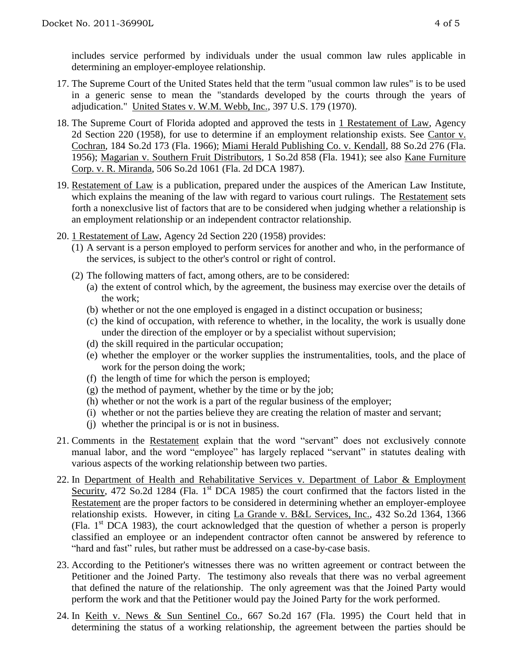includes service performed by individuals under the usual common law rules applicable in determining an employer-employee relationship.

- 17. The Supreme Court of the United States held that the term "usual common law rules" is to be used in a generic sense to mean the "standards developed by the courts through the years of adjudication." United States v. W.M. Webb, Inc., 397 U.S. 179 (1970).
- 18. The Supreme Court of Florida adopted and approved the tests in 1 Restatement of Law, Agency 2d Section 220 (1958), for use to determine if an employment relationship exists. See Cantor v. Cochran, 184 So.2d 173 (Fla. 1966); Miami Herald Publishing Co. v. Kendall, 88 So.2d 276 (Fla. 1956); Magarian v. Southern Fruit Distributors, 1 So.2d 858 (Fla. 1941); see also Kane Furniture Corp. v. R. Miranda, 506 So.2d 1061 (Fla. 2d DCA 1987).
- 19. Restatement of Law is a publication, prepared under the auspices of the American Law Institute, which explains the meaning of the law with regard to various court rulings. The Restatement sets forth a nonexclusive list of factors that are to be considered when judging whether a relationship is an employment relationship or an independent contractor relationship.
- 20. 1 Restatement of Law, Agency 2d Section 220 (1958) provides:
	- (1) A servant is a person employed to perform services for another and who, in the performance of the services, is subject to the other's control or right of control.
	- (2) The following matters of fact, among others, are to be considered:
		- (a) the extent of control which, by the agreement, the business may exercise over the details of the work;
		- (b) whether or not the one employed is engaged in a distinct occupation or business;
		- (c) the kind of occupation, with reference to whether, in the locality, the work is usually done under the direction of the employer or by a specialist without supervision;
		- (d) the skill required in the particular occupation;
		- (e) whether the employer or the worker supplies the instrumentalities, tools, and the place of work for the person doing the work;
		- (f) the length of time for which the person is employed;
		- (g) the method of payment, whether by the time or by the job;
		- (h) whether or not the work is a part of the regular business of the employer;
		- (i) whether or not the parties believe they are creating the relation of master and servant;
		- (j) whether the principal is or is not in business.
- 21. Comments in the Restatement explain that the word "servant" does not exclusively connote manual labor, and the word "employee" has largely replaced "servant" in statutes dealing with various aspects of the working relationship between two parties.
- 22. In Department of Health and Rehabilitative Services v. Department of Labor & Employment Security, 472 So.2d 1284 (Fla.  $1<sup>st</sup>$  DCA 1985) the court confirmed that the factors listed in the Restatement are the proper factors to be considered in determining whether an employer-employee relationship exists. However, in citing La Grande v. B&L Services, Inc., 432 So.2d 1364, 1366 (Fla.  $1<sup>st</sup> DCA$  1983), the court acknowledged that the question of whether a person is properly classified an employee or an independent contractor often cannot be answered by reference to "hard and fast" rules, but rather must be addressed on a case-by-case basis.
- 23. According to the Petitioner's witnesses there was no written agreement or contract between the Petitioner and the Joined Party. The testimony also reveals that there was no verbal agreement that defined the nature of the relationship. The only agreement was that the Joined Party would perform the work and that the Petitioner would pay the Joined Party for the work performed.
- 24. In Keith v. News & Sun Sentinel Co., 667 So.2d 167 (Fla. 1995) the Court held that in determining the status of a working relationship, the agreement between the parties should be